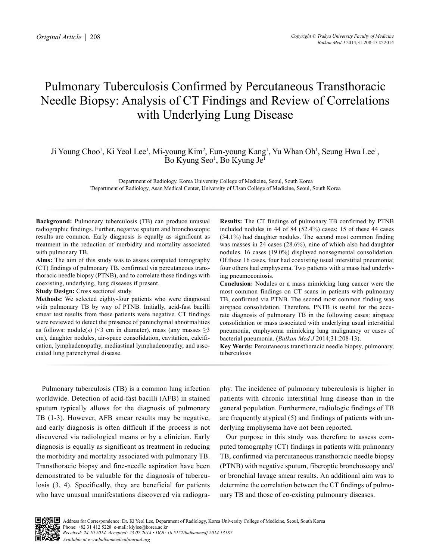# Pulmonary Tuberculosis Confirmed by Percutaneous Transthoracic Needle Biopsy: Analysis of CT Findings and Review of Correlations with Underlying Lung Disease

Ji Young Choo<sup>1</sup>, Ki Yeol Lee<sup>1</sup>, Mi-young Kim<sup>2</sup>, Eun-young Kang<sup>1</sup>, Yu Whan Oh<sup>1</sup>, Seung Hwa Lee<sup>1</sup>, Bo Kyung Seo<sup>1</sup>, Bo Kyung Je<sup>1</sup>

> 1 Department of Radiology, Korea University College of Medicine, Seoul, South Korea 2 Department of Radiology, Asan Medical Center, University of Ulsan College of Medicine, Seoul, South Korea

**Background:** Pulmonary tuberculosis (TB) can produce unusual radiographic findings. Further, negative sputum and bronchoscopic results are common. Early diagnosis is equally as significant as treatment in the reduction of morbidity and mortality associated with pulmonary TB.

**Aims:** The aim of this study was to assess computed tomography (CT) findings of pulmonary TB, confirmed via percutaneous transthoracic needle biopsy (PTNB), and to correlate these findings with coexisting, underlying, lung diseases if present.

**Study Design:** Cross sectional study.

**Methods:** We selected eighty-four patients who were diagnosed with pulmonary TB by way of PTNB. Initially, acid-fast bacilli smear test results from these patients were negative. CT findings were reviewed to detect the presence of parenchymal abnormalities as follows: nodule(s) (<3 cm in diameter), mass (any masses  $\geq$ 3 cm), daughter nodules, air-space consolidation, cavitation, calcification, lymphadenopathy, mediastinal lymphadenopathy, and associated lung parenchymal disease.

**Results:** The CT findings of pulmonary TB confirmed by PTNB included nodules in 44 of 84 (52.4%) cases; 15 of these 44 cases (34.1%) had daughter nodules. The second most common finding was masses in 24 cases (28.6%), nine of which also had daughter nodules. 16 cases (19.0%) displayed nonsegmental consolidation. Of these 16 cases, four had coexisting usual interstitial pneumonia; four others had emphysema. Two patients with a mass had underlying pneumoconiosis.

**Conclusion:** Nodules or a mass mimicking lung cancer were the most common findings on CT scans in patients with pulmonary TB, confirmed via PTNB. The second most common finding was airspace consolidation. Therefore, PNTB is useful for the accurate diagnosis of pulmonary TB in the following cases: airspace consolidation or mass associated with underlying usual interstitial pneumonia, emphysema mimicking lung malignancy or cases of bacterial pneumonia. (*Balkan Med J* 2014;31:208-13).

**Key Words:** Percutaneous transthoracic needle biopsy, pulmonary, tuberculosis

Pulmonary tuberculosis (TB) is a common lung infection worldwide. Detection of acid-fast bacilli (AFB) in stained sputum typically allows for the diagnosis of pulmonary TB (1-3). However, AFB smear results may be negative, and early diagnosis is often difficult if the process is not discovered via radiological means or by a clinician. Early diagnosis is equally as significant as treatment in reducing the morbidity and mortality associated with pulmonary TB. Transthoracic biopsy and fine-needle aspiration have been demonstrated to be valuable for the diagnosis of tuberculosis (3, 4). Specifically, they are beneficial for patients who have unusual manifestations discovered via radiography. The incidence of pulmonary tuberculosis is higher in patients with chronic interstitial lung disease than in the general population. Furthermore, radiologic findings of TB are frequently atypical (5) and findings of patients with underlying emphysema have not been reported.

Our purpose in this study was therefore to assess computed tomography (CT) findings in patients with pulmonary TB, confirmed via percutaneous transthoracic needle biopsy (PTNB) with negative sputum, fiberoptic bronchoscopy and/ or bronchial lavage smear results. An additional aim was to determine the correlation between the CT findings of pulmonary TB and those of co-existing pulmonary diseases.

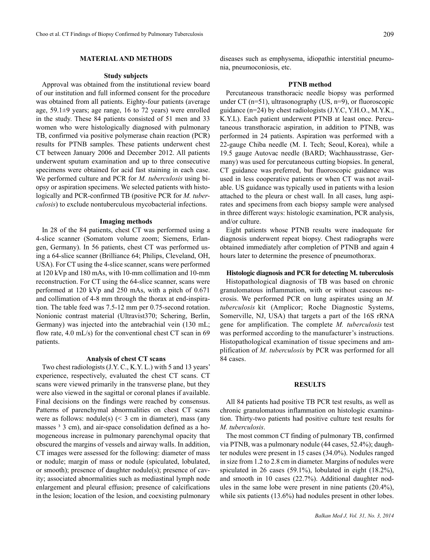#### **MATERIAL AND METHODS**

#### **Study subjects**

Approval was obtained from the institutional review board of our institution and full informed consent for the procedure was obtained from all patients. Eighty-four patients (average age, 59.1±9 years; age range, 16 to 72 years) were enrolled in the study. These 84 patients consisted of 51 men and 33 women who were histologically diagnosed with pulmonary TB, confirmed via positive polymerase chain reaction (PCR) results for PTNB samples. These patients underwent chest CT between January 2006 and December 2012. All patients underwent sputum examination and up to three consecutive specimens were obtained for acid fast staining in each case. We performed culture and PCR for *M. tuberculosis* using biopsy or aspiration specimens. We selected patients with histologically and PCR-confirmed TB (positive PCR for *M. tuberculosis*) to exclude nontuberculous mycobacterial infections.

#### **Imaging methods**

In 28 of the 84 patients, chest CT was performed using a 4-slice scanner (Somatom volume zoom; Siemens, Erlangen, Germany). In 56 patients, chest CT was performed using a 64-slice scanner (Brilliance 64; Philips, Cleveland, OH, USA). For CT using the 4-slice scanner, scans were performed at 120 kVp and 180 mAs, with 10-mm collimation and 10-mm reconstruction. For CT using the 64-slice scanner, scans were performed at 120 kVp and 250 mAs, with a pitch of 0.671 and collimation of 4-8 mm through the thorax at end-inspiration. The table feed was 7.5-12 mm per 0.75-second rotation. Nonionic contrast material (Ultravist370; Schering, Berlin, Germany) was injected into the antebrachial vein (130 mL; flow rate, 4.0 mL/s) for the conventional chest CT scan in 69 patients.

#### **Analysis of chest CT scans**

Two chest radiologists (J.Y. C., K.Y. L.) with 5 and 13 years' experience, respectively, evaluated the chest CT scans. CT scans were viewed primarily in the transverse plane, but they were also viewed in the sagittal or coronal planes if available. Final decisions on the findings were reached by consensus. Patterns of parenchymal abnormalities on chest CT scans were as follows: nodule(s)  $(< 3$  cm in diameter), mass (any masses <sup>3</sup> 3 cm), and air-space consolidation defined as a homogeneous increase in pulmonary parenchymal opacity that obscured the margins of vessels and airway walls. In addition, CT images were assessed for the following: diameter of mass or nodule; margin of mass or nodule (spiculated, lobulated, or smooth); presence of daughter nodule(s); presence of cavity; associated abnormalities such as mediastinal lymph node enlargement and pleural effusion; presence of calcifications in the lesion; location of the lesion, and coexisting pulmonary diseases such as emphysema, idiopathic interstitial pneumonia, pneumoconiosis, etc.

#### **PTNB method**

Percutaneous transthoracic needle biopsy was performed under CT (n=51), ultrasonography (US, n=9), or fluoroscopic guidance (n=24) by chest radiologists (J.Y.C, Y.H.O., M.Y.K., K.Y.L). Each patient underwent PTNB at least once. Percutaneous transthoracic aspiration, in addition to PTNB, was performed in 24 patients. Aspiration was performed with a 22-gauge Chiba needle (M. I. Tech; Seoul, Korea), while a 19.5 gauge Autovac needle (BARD; Wachhausstrasse, Germany) was used for percutaneous cutting biopsies. In general, CT guidance was preferred, but fluoroscopic guidance was used in less cooperative patients or when CT was not available. US guidance was typically used in patients with a lesion attached to the pleura or chest wall. In all cases, lung aspirates and specimens from each biopsy sample were analysed in three different ways: histologic examination, PCR analysis, and/or culture.

Eight patients whose PTNB results were inadequate for diagnosis underwent repeat biopsy. Chest radiographs were obtained immediately after completion of PTNB and again 4 hours later to determine the presence of pneumothorax.

#### **Histologic diagnosis and PCR for detecting M. tuberculosis**

Histopathological diagnosis of TB was based on chronic granulomatous inflammation, with or without caseous necrosis. We performed PCR on lung aspirates using an *M. tuberculosis* kit (Amplicor; Roche Diagnostic Systems, Somerville, NJ, USA) that targets a part of the 16S rRNA gene for amplification. The complete *M. tuberculosis* test was performed according to the manufacturer's instructions. Histopathological examination of tissue specimens and amplification of *M. tuberculosis* by PCR was performed for all 84 cases.

### **RESULTS**

All 84 patients had positive TB PCR test results, as well as chronic granulomatous inflammation on histologic examination. Thirty-two patients had positive culture test results for *M. tuberculosis*.

The most common CT finding of pulmonary TB, confirmed via PTNB, was a pulmonary nodule (44 cases, 52.4%); daughter nodules were present in 15 cases (34.0%). Nodules ranged in size from 1.2 to 2.8 cm in diameter. Margins of nodules were spiculated in 26 cases (59.1%), lobulated in eight (18.2%), and smooth in 10 cases (22.7%). Additional daughter nodules in the same lobe were present in nine patients (20.4%), while six patients (13.6%) had nodules present in other lobes.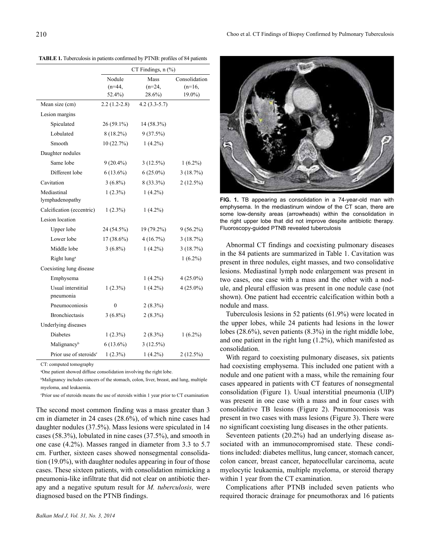|                                    | CT Findings, $n$ $(\%)$      |                              |                                       |
|------------------------------------|------------------------------|------------------------------|---------------------------------------|
|                                    | Nodule<br>$(n=44,$<br>52.4%) | Mass<br>$(n=24,$<br>$28.6\%$ | Consolidation<br>$(n=16,$<br>$19.0\%$ |
|                                    |                              |                              |                                       |
|                                    |                              |                              |                                       |
| Mean size (cm)                     | $2.2(1.2-2.8)$               | $4.2(3.3-5.7)$               |                                       |
| Lesion margins                     |                              |                              |                                       |
| Spiculated                         | $26(59.1\%)$                 | 14 (58.3%)                   |                                       |
| Lobulated                          | $8(18.2\%)$                  | 9(37.5%)                     |                                       |
| Smooth                             | 10(22.7%)                    | $1(4.2\%)$                   |                                       |
| Daughter nodules                   |                              |                              |                                       |
| Same lobe                          | $9(20.4\%)$                  | 3(12.5%)                     | $1(6.2\%)$                            |
| Different lobe                     | $6(13.6\%)$                  | $6(25.0\%)$                  | 3(18.7%)                              |
| Cavitation                         | $3(6.8\%)$                   | $8(33.3\%)$                  | $2(12.5\%)$                           |
| Mediastinal                        | $1(2.3\%)$                   | $1(4.2\%)$                   |                                       |
| lymphadenopathy                    |                              |                              |                                       |
| Calcification (eccentric)          | $1(2.3\%)$                   | $1(4.2\%)$                   |                                       |
| Lesion location                    |                              |                              |                                       |
| Upper lobe                         | 24 (54.5%)                   | 19 (79.2%)                   | $9(56.2\%)$                           |
| Lower lobe                         | $17(38.6\%)$                 | 4(16.7%)                     | 3(18.7%)                              |
| Middle lobe                        | $3(6.8\%)$                   | $1(4.2\%)$                   | 3(18.7%)                              |
| Right lung <sup>a</sup>            |                              |                              | $1(6.2\%)$                            |
| Coexisting lung disease            |                              |                              |                                       |
| Emphysema                          |                              | $1(4.2\%)$                   | $4(25.0\%)$                           |
| Usual interstitial<br>pneumonia    | $1(2.3\%)$                   | $1(4.2\%)$                   | $4(25.0\%)$                           |
| Pneumoconiosis                     | 0                            | $2(8.3\%)$                   |                                       |
| <b>Bronchiectasis</b>              | $3(6.8\%)$                   | $2(8.3\%)$                   |                                       |
| Underlying diseases                |                              |                              |                                       |
| Diabetes                           | $1(2.3\%)$                   | $2(8.3\%)$                   | $1(6.2\%)$                            |
| Malignancy <sup>b</sup>            | $6(13.6\%)$                  | 3(12.5%)                     |                                       |
| Prior use of steroids <sup>c</sup> | $1(2.3\%)$                   | $1(4.2\%)$                   | 2(12.5%)                              |

**TABLE 1.** Tuberculosis in patients confirmed by PTNB: profiles of 84 patients

CT: computed tomography

a One patient showed diffuse consolidation involving the right lobe.

b Malignancy includes cancers of the stomach, colon, liver, breast, and lung, multiple myeloma, and leukaemia.

c Prior use of steroids means the use of steroids within 1 year prior to CT examination

The second most common finding was a mass greater than 3 cm in diameter in 24 cases (28.6%), of which nine cases had daughter nodules (37.5%). Mass lesions were spiculated in 14 cases (58.3%), lobulated in nine cases (37.5%), and smooth in one case (4.2%). Masses ranged in diameter from 3.3 to 5.7 cm. Further, sixteen cases showed nonsegmental consolidation (19.0%), with daughter nodules appearing in four of those cases. These sixteen patients, with consolidation mimicking a pneumonia-like infiltrate that did not clear on antibiotic therapy and a negative sputum result for *M. tuberculosis,* were diagnosed based on the PTNB findings.



**FIG. 1.** TB appearing as consolidation in a 74-year-old man with emphysema. In the mediastinum window of the CT scan, there are some low-density areas (arrowheads) within the consolidation in the right upper lobe that did not improve despite antibiotic therapy. Fluoroscopy-guided PTNB revealed tuberculosis

Abnormal CT findings and coexisting pulmonary diseases in the 84 patients are summarized in Table 1. Cavitation was present in three nodules, eight masses, and two consolidative lesions. Mediastinal lymph node enlargement was present in two cases, one case with a mass and the other with a nodule, and pleural effusion was present in one nodule case (not shown). One patient had eccentric calcification within both a nodule and mass.

Tuberculosis lesions in 52 patients (61.9%) were located in the upper lobes, while 24 patients had lesions in the lower lobes (28.6%), seven patients (8.3%) in the right middle lobe, and one patient in the right lung (1.2%), which manifested as consolidation.

With regard to coexisting pulmonary diseases, six patients had coexisting emphysema. This included one patient with a nodule and one patient with a mass, while the remaining four cases appeared in patients with CT features of nonsegmental consolidation (Figure 1). Usual interstitial pneumonia (UIP) was present in one case with a mass and in four cases with consolidative TB lesions (Figure 2). Pneumoconiosis was present in two cases with mass lesions (Figure 3). There were no significant coexisting lung diseases in the other patients.

Seventeen patients (20.2%) had an underlying disease associated with an immunocompromised state. These conditions included: diabetes mellitus, lung cancer, stomach cancer, colon cancer, breast cancer, hepatocellular carcinoma, acute myelocytic leukaemia, multiple myeloma, or steroid therapy within 1 year from the CT examination.

Complications after PTNB included seven patients who required thoracic drainage for pneumothorax and 16 patients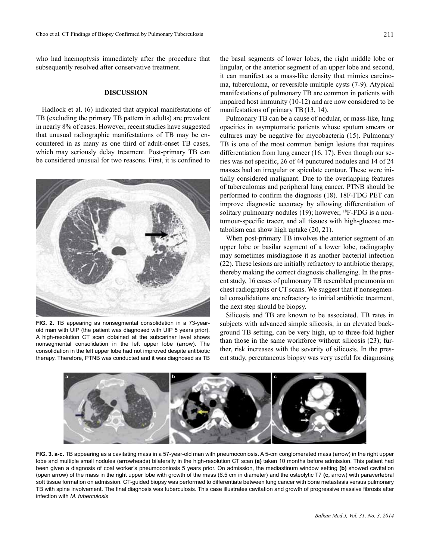who had haemoptysis immediately after the procedure that subsequently resolved after conservative treatment.

#### **DISCUSSION**

Hadlock et al. (6) indicated that atypical manifestations of TB (excluding the primary TB pattern in adults) are prevalent in nearly 8% of cases. However, recent studies have suggested that unusual radiographic manifestations of TB may be encountered in as many as one third of adult-onset TB cases, which may seriously delay treatment. Post-primary TB can be considered unusual for two reasons. First, it is confined to



**FIG. 2.** TB appearing as nonsegmental consolidation in a 73-yearold man with UIP (the patient was diagnosed with UIP 5 years prior). A high-resolution CT scan obtained at the subcarinar level shows nonsegmental consolidation in the left upper lobe (arrow). The consolidation in the left upper lobe had not improved despite antibiotic therapy. Therefore, PTNB was conducted and it was diagnosed as TB

the basal segments of lower lobes, the right middle lobe or lingular, or the anterior segment of an upper lobe and second, it can manifest as a mass-like density that mimics carcinoma, tuberculoma, or reversible multiple cysts (7-9). Atypical manifestations of pulmonary TB are common in patients with impaired host immunity (10-12) and are now considered to be manifestations of primary TB(13, 14).

Pulmonary TB can be a cause of nodular, or mass-like, lung opacities in asymptomatic patients whose sputum smears or cultures may be negative for mycobacteria (15). Pulmonary TB is one of the most common benign lesions that requires differentiation from lung cancer (16, 17). Even though our series was not specific, 26 of 44 punctured nodules and 14 of 24 masses had an irregular or spiculate contour. These were initially considered malignant. Due to the overlapping features of tuberculomas and peripheral lung cancer, PTNB should be performed to confirm the diagnosis (18). 18F-FDG PET can improve diagnostic accuracy by allowing differentiation of solitary pulmonary nodules (19); however, <sup>18</sup>F-FDG is a nontumour-specific tracer, and all tissues with high-glucose metabolism can show high uptake (20, 21).

When post-primary TB involves the anterior segment of an upper lobe or basilar segment of a lower lobe, radiography may sometimes misdiagnose it as another bacterial infection (22). These lesions are initially refractory to antibiotic therapy, thereby making the correct diagnosis challenging. In the present study, 16 cases of pulmonary TB resembled pneumonia on chest radiographs or CT scans. We suggest that if nonsegmental consolidations are refractory to initial antibiotic treatment, the next step should be biopsy.

Silicosis and TB are known to be associated. TB rates in subjects with advanced simple silicosis, in an elevated background TB setting, can be very high, up to three-fold higher than those in the same workforce without silicosis (23); further, risk increases with the severity of silicosis. In the present study, percutaneous biopsy was very useful for diagnosing



**FIG. 3. a-c.** TB appearing as a cavitating mass in a 57-year-old man with pneumoconiosis. A 5-cm conglomerated mass (arrow) in the right upper lobe and multiple small nodules (arrowheads) bilaterally in the high-resolution CT scan **(a)** taken 10 months before admission. This patient had been given a diagnosis of coal worker's pneumoconiosis 5 years prior. On admission, the mediastinum window setting **(b)** showed cavitation (open arrow) of the mass in the right upper lobe with growth of the mass (6.5 cm in diameter) and the osteolytic T7 **(c,** arrow) with paravertebral soft tissue formation on admission. CT-guided biopsy was performed to differentiate between lung cancer with bone metastasis versus pulmonary TB with spine involvement. The final diagnosis was tuberculosis. This case illustrates cavitation and growth of progressive massive fibrosis after infection with *M. tuberculosis*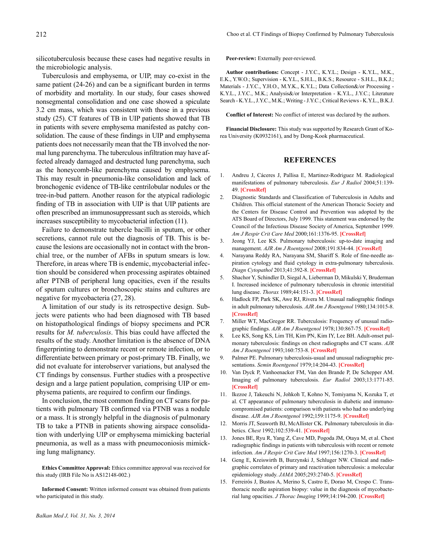silicotuberculosis because these cases had negative results in the microbiologic analysis.

Tuberculosis and emphysema, or UIP, may co-exist in the same patient (24-26) and can be a significant burden in terms of morbidity and mortality. In our study, four cases showed nonsegmental consolidation and one case showed a spiculate 3.2 cm mass, which was consistent with those in a previous study (25). CT features of TB in UIP patients showed that TB in patients with severe emphysema manifested as patchy consolidation. The cause of these findings in UIP and emphysema patients does not necessarily mean that the TB involved the normal lung parenchyma. The tuberculous infiltration may have affected already damaged and destructed lung parenchyma, such as the honeycomb-like parenchyma caused by emphysema. This may result in pneumonia-like consolidation and lack of bronchogenic evidence of TB-like centrilobular nodules or the tree-in-bud pattern. Another reason for the atypical radiologic finding of TB in association with UIP is that UIP patients are often prescribed an immunosuppressant such as steroids, which increases susceptibility to mycobacterial infection (11).

Failure to demonstrate tubercle bacilli in sputum, or other secretions, cannot rule out the diagnosis of TB. This is because the lesions are occasionally not in contact with the bronchial tree, or the number of AFBs in sputum smears is low. Therefore, in areas where TB is endemic, mycobacterial infection should be considered when processing aspirates obtained after PTNB of peripheral lung opacities, even if the results of sputum cultures or bronchoscopic stains and cultures are negative for mycobacteria (27, 28).

A limitation of our study is its retrospective design. Subjects were patients who had been diagnosed with TB based on histopathological findings of biopsy specimens and PCR results for *M. tuberculosis*. This bias could have affected the results of the study. Another limitation is the absence of DNA fingerprinting to demonstrate recent or remote infection, or to differentiate between primary or post-primary TB. Finally, we did not evaluate for interobserver variations, but analysed the CT findings by consensus. Further studies with a prospective design and a large patient population, comprising UIP or emphysema patients, are required to confirm our findings.

In conclusion, the most common finding on CT scans for patients with pulmonary TB confirmed via PTNB was a nodule or a mass. It is strongly helpful in the diagnosis of pulmonary TB to take a PTNB in patients showing airspace consolidation with underlying UIP or emphysema mimicking bacterial pneumonia, as well as a mass with pneumoconiosis mimicking lung malignancy.

**Ethics Committee Approval:** Ethics committee approval was received for this study (IRB File No is AS12148-002.)

**Informed Consent:** Written informed consent was obtained from patients who participated in this study.

Peer-review: Externally peer-reviewed.

**Author contributions:** Concept - J.Y.C., K.Y.L.; Design - K.Y.L., M.K., E.K., Y.W.O.; Supervision - K.Y.L., S.H.L., B.K.S.; Resource - S.H.L., B.K.J.; Materials - J.Y.C., Y.H.O., M.Y.K., K.Y.L.; Data Collection&/or Processing - K.Y.L., J.Y.C., M.K.; Analysis&/or Interpretation - K.Y.L., J.Y.C.; Literature Search - K.Y.L., J.Y.C., M.K.; Writing - J.Y.C.; Critical Reviews - K.Y.L., B.K.J.

**Conflict of Interest:** No conflict of interest was declared by the authors.

**Financial Disclosure:** This study was supported by Research Grant of Korea University (K0932161), and by Dong-Kook pharmaceutical.

## **REFERENCES**

- 1. Andreu J, Cáceres J, Pallisa E, Martinez-Rodriguez M. Radiological manifestations of pulmonary tuberculosis. *Eur J Radiol* 2004;51:139- 49. **[\[CrossRef\]](http://dx.doi.org/10.1016/j.ejrad.2004.03.009)**
- 2. Diagnostic Standards and Classification of Tuberculosis in Adults and Children. This official statement of the American Thoracic Society and the Centers for Disease Control and Prevention was adopted by the ATS Board of Directors, July 1999. This statement was endorsed by the Council of the Infectious Disease Society of America, September 1999. *Am J Respir Crit Care Med* 2000;161:1376-95. **[[CrossRef\]](http://dx.doi.org/10.1164/ajrccm.161.4.16141)**
- 3. Jeong YJ, Lee KS. Pulmonary tuberculosis: up-to-date imaging and management. *AJR Am J Roentgenol* 2008;191:834-44. **[\[CrossRef\]](http://dx.doi.org/10.2214/AJR.07.3896)**
- Narayana Reddy RA, Narayana SM, Shariff S. Role of fine-needle aspiration cytology and fluid cytology in extra-pulmonary tuberculosis. *Diagn Cytopathol* 2013;41:392-8. **[\[CrossRef\]](http://dx.doi.org/10.1002/dc.22827)**
- 5. Shachor Y, Schindler D, Siegal A, Lieberman D, Mikulski Y, Bruderman I. Increased incidence of pulmonary tuberculosis in chronic interstitial lung disease. *Thorax* 1989;44:151-3. **[\[CrossRef](http://dx.doi.org/10.1136/thx.44.2.151)]**
- 6. Hadlock FP, Park SK, Awe RJ, Rivera M. Unusual radiographic findings in adult pulmonary tuberculosis. *AJR Am J Roentgenol* 1980;134:1015-8. **[\[CrossRef\]](http://dx.doi.org/10.2214/ajr.134.5.1015)**
- 7. Miller WT, MacGregor RR. Tuberculosis: Frequency of unusual radiographic findings. *AJR Am J Roentgenol* 1978;130:867-75. **[[CrossRef](http://dx.doi.org/10.2214/ajr.130.5.867)]**
- 8. Lee KS, Song KS, Lim TH, Kim PN, Kim IY, Lee BH. Adult-onset pulmonary tuberculosis: findings on chest radiographs and CT scans. *AJR Am J Roentgenol* 1993;160:753-8. **[\[CrossRef\]](http://dx.doi.org/10.2214/ajr.160.4.8456658)**
- 9. Palmer PE. Pulmonary tuberculosis-usual and unusual radiographic presentations. *Semin Roentgenol* 1979;14:204-43. **[[CrossRef\]](http://dx.doi.org/10.1016/0037-198X(79)90007-5)**
- 10. Van Dyck P, Vanhoenacker FM, Van den Brande P, De Schepper AM. Imaging of pulmonary tuberculosis. *Eur Radiol* 2003;13:1771-85. **[\[CrossRef\]](http://dx.doi.org/10.1007/s00330-002-1612-y)**
- 11. Ikezoe J, Takeuchi N, Johkoh T, Kohno N, Tomiyama N, Kozuka T, et al. CT appearance of pulmonary tuberculosis in diabetic and immunocompromised patients: comparison with patients who had no underlying disease. *AJR Am J Roentgenol* 1992;159:1175-9. **[\[CrossRef\]](http://dx.doi.org/10.2214/ajr.159.6.1442377)**
- 12. Morris JT, Seaworth BJ, McAllister CK. Pulmonary tuberculosis in diabetics. *Chest* 1992;102:539-41. **[\[CrossRef\]](http://dx.doi.org/10.1378/chest.102.2.539)**
- 13. Jones BE, Ryu R, Yang Z, Cave MD, Pogoda JM, Otaya M, et al. Chest radiographic findings in patients with tuberculosis with recent or remote infection. *Am J Respir Crit Care Med* 1997;156:1270-3. **[[CrossRef](http://dx.doi.org/10.1164/ajrccm.156.4.9609143)]**
- 14. Geng E, Kreiswirth B, Burzynski J, Schluger NW. Clinical and radiographic correlates of primary and reactivation tuberculosis: a molecular epidemiology study. *JAMA* 2005;293:2740-5. **[\[CrossRef\]](http://dx.doi.org/10.1001/jama.293.22.2740)**
- 15. Ferreirós J, Bustos A, Merino S, Castro E, Dorao M, Crespo C. Transthoracic needle aspiration biopsy: value in the diagnosis of mycobacterial lung opacities. *J Thorac Imaging* 1999;14:194-200. **[\[CrossRef\]](http://dx.doi.org/10.1097/00005382-199907000-00006)**